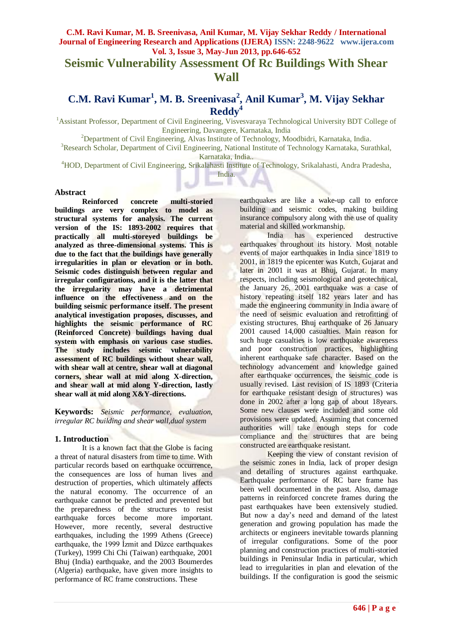# **Seismic Vulnerability Assessment Of Rc Buildings With Shear Wall**

# **C.M. Ravi Kumar<sup>1</sup> , M. B. Sreenivasa<sup>2</sup> , Anil Kumar<sup>3</sup> , M. Vijay Sekhar Reddy<sup>4</sup>**

<sup>1</sup> Assistant Professor, Department of Civil Engineering, Visvesvaraya Technological University BDT College of Engineering, Davangere, Karnataka, India

<sup>2</sup>Department of Civil Engineering, Alvas Institute of Technology, Moodbidri, Karnataka, India.

<sup>3</sup>Research Scholar, Department of Civil Engineering, National Institute of Technology Karnataka, Surathkal, Karnataka, India..

<sup>4</sup>HOD, Department of Civil Engineering, Srikalahasti Institute of Technology, Srikalahasti, Andra Pradesha, India.

#### **Abstract**

**Reinforced concrete multi-storied buildings are very complex to model as structural systems for analysis. The current version of the IS: 1893-2002 requires that practically all multi-storeyed buildings be analyzed as three-dimensional systems. This is due to the fact that the buildings have generally irregularities in plan or elevation or in both. Seismic codes distinguish between regular and irregular configurations, and it is the latter that the irregularity may have a detrimental influence on the effectiveness and on the building seismic performance itself. The present analytical investigation proposes, discusses, and highlights the seismic performance of RC (Reinforced Concrete) buildings having dual system with emphasis on various case studies. The study includes seismic vulnerability assessment of RC buildings without shear wall, with shear wall at centre, shear wall at diagonal corners, shear wall at mid along X-direction, and shear wall at mid along Y-direction, lastly shear wall at mid along X&Y-directions.**

**Keywords:** *Seismic performance, evaluation, irregular RC building and shear wall,dual system*

#### **1. Introduction**

It is a known fact that the Globe is facing a threat of natural disasters from time to time. With particular records based on earthquake occurrence, the consequences are loss of human lives and destruction of properties, which ultimately affects the natural economy. The occurrence of an earthquake cannot be predicted and prevented but the preparedness of the structures to resist earthquake forces become more important. However, more recently, several destructive earthquakes, including the 1999 Athens (Greece) earthquake, the 1999 İzmit and Düzce earthquakes (Turkey), 1999 Chi Chi (Taiwan) earthquake, 2001 Bhuj (India) earthquake, and the 2003 Boumerdes (Algeria) earthquake, have given more insights to performance of RC frame constructions. These

earthquakes are like a wake-up call to enforce building and seismic codes, making building insurance compulsory along with the use of quality material and skilled workmanship.

India has experienced destructive earthquakes throughout its history. Most notable events of major earthquakes in India since 1819 to 2001, in 1819 the epicenter was Kutch, Gujarat and later in 2001 it was at Bhuj, Gujarat. In many respects, including seismological and geotechnical, the January 26, 2001 earthquake was a case of history repeating itself 182 years later and has made the engineering community in India aware of the need of seismic evaluation and retrofitting of existing structures. Bhuj earthquake of 26 January 2001 caused 14,000 casualties. Main reason for such huge casualties is low earthquake awareness and poor construction practices, highlighting inherent earthquake safe character. Based on the technology advancement and knowledge gained after earthquake occurrences, the seismic code is usually revised. Last revision of IS 1893 (Criteria for earthquake resistant design of structures) was done in 2002 after a long gap of about 18years. Some new clauses were included and some old provisions were updated. Assuming that concerned authorities will take enough steps for code compliance and the structures that are being constructed are earthquake resistant.

Keeping the view of constant revision of the seismic zones in India, lack of proper design and detailing of structures against earthquake. Earthquake performance of RC bare frame has been well documented in the past. Also, damage patterns in reinforced concrete frames during the past earthquakes have been extensively studied. But now a day"s need and demand of the latest generation and growing population has made the architects or engineers inevitable towards planning of irregular configurations. Some of the poor planning and construction practices of multi-storied buildings in Peninsular India in particular, which lead to irregularities in plan and elevation of the buildings. If the configuration is good the seismic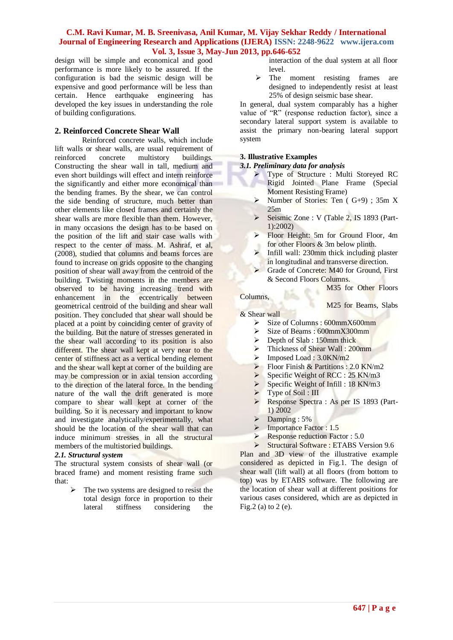design will be simple and economical and good performance is more likely to be assured. If the configuration is bad the seismic design will be expensive and good performance will be less than certain. Hence earthquake engineering has developed the key issues in understanding the role of building configurations.

## **2. Reinforced Concrete Shear Wall**

Reinforced concrete walls, which include lift walls or shear walls, are usual requirement of reinforced concrete multistory buildings. Constructing the shear wall in tall, medium and even short buildings will effect and intern reinforce the significantly and either more economical than the bending frames. By the shear, we can control the side bending of structure, much better than other elements like closed frames and certainly the shear walls are more flexible than them. However, in many occasions the design has to be based on the position of the lift and stair case walls with respect to the center of mass. M. Ashraf, et al, (2008), studied that columns and beams forces are found to increase on grids opposite to the changing position of shear wall away from the centroid of the building. Twisting moments in the members are observed to be having increasing trend with enhancement in the eccentrically between geometrical centroid of the building and shear wall position. They concluded that shear wall should be placed at a point by coinciding center of gravity of the building. But the nature of stresses generated in the shear wall according to its position is also different. The shear wall kept at very near to the center of stiffness act as a vertical bending element and the shear wall kept at corner of the building are may be compression or in axial tension according to the direction of the lateral force. In the bending nature of the wall the drift generated is more compare to shear wall kept at corner of the building. So it is necessary and important to know and investigate analytically/experimentally, what should be the location of the shear wall that can induce minimum stresses in all the structural members of the multistoried buildings.

#### *2.1. Structural system*

The structural system consists of shear wall (or braced frame) and moment resisting frame such that:

> The two systems are designed to resist the total design force in proportion to their lateral stiffness considering the

- interaction of the dual system at all floor level.
- $\triangleright$  The moment resisting frames are designed to independently resist at least 25% of design seismic base shear.

In general, dual system comparably has a higher value of "R" (response reduction factor), since a secondary lateral support system is available to assist the primary non-bearing lateral support system

#### **3. Illustrative Examples**

*3.1. Preliminary data for analysis*

- Type of Structure : Multi Storeyed RC Rigid Jointed Plane Frame (Special Moment Resisting Frame)
- $\triangleright$  Number of Stories: Ten ( G+9) ; 35m X 25m
- $\triangleright$  Seismic Zone : V (Table 2, IS 1893 (Part-1):2002)
- Floor Height: 5m for Ground Floor, 4m for other Floors & 3m below plinth.
- Infill wall: 230mm thick including plaster in longitudinal and transverse direction.
- Grade of Concrete: M40 for Ground, First & Second Floors Columns.
	- M35 for Other Floors

# Columns,

M25 for Beams, Slabs

- & Shear wall
	- $\triangleright$  Size of Columns : 600mm  $X$ 600mm
	- $\triangleright$  Size of Beams : 600mm X300mm
	- $\triangleright$  Depth of Slab : 150mm thick
	- > Thickness of Shear Wall : 200mm
	- $\triangleright$  Imposed Load : 3.0KN/m2
	- $\triangleright$  Floor Finish & Partitions : 2.0 KN/m2
	- $\triangleright$  Specific Weight of RCC : 25 KN/m3
	- $\triangleright$  Specific Weight of Infill : 18 KN/m3
	- Type of Soil : III
	- Response Spectra : As per IS 1893 (Part-1) 2002
	- $\triangleright$  Damping : 5%

Fig.2 (a) to 2 (e).

- > Importance Factor : 1.5
- Response reduction Factor :  $5.0$ <br>Structural Software : ETABS Ve

 Structural Software : ETABS Version 9.6 Plan and 3D view of the illustrative example considered as depicted in Fig.1. The design of shear wall (lift wall) at all floors (from bottom to top) was by ETABS software. The following are the location of shear wall at different positions for various cases considered, which are as depicted in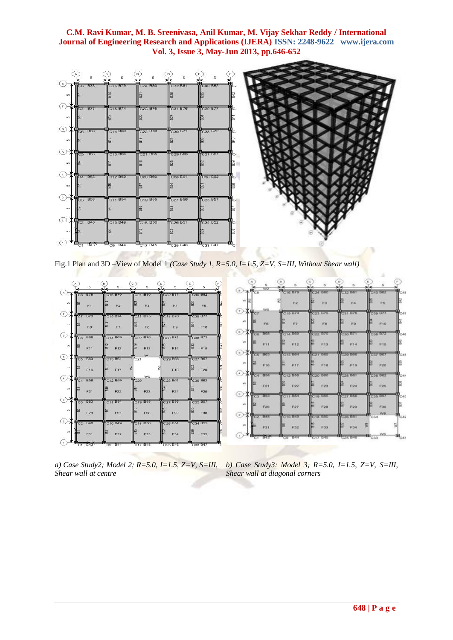

Fig.1 Plan and 3D –View of Model 1 *(Case Study 1, R=5.0, I=1.5, Z=V, S=III, Without Shear wall)*

| $\Delta$                                                 | в                               | c.<br>5                         | D<br>5                          |                                 | F.             | 6<br>W <sub>2</sub>                                                                                           |                                   |            | 5              |                     |  |
|----------------------------------------------------------|---------------------------------|---------------------------------|---------------------------------|---------------------------------|----------------|---------------------------------------------------------------------------------------------------------------|-----------------------------------|------------|----------------|---------------------|--|
| $\rightarrow \frac{1}{\sqrt{2}}$ B78                     | C <sub>16</sub> B <sub>79</sub> | C24 B80                         | C32 B81                         | TC40 B82                        | ◎木馬。           |                                                                                                               | $\frac{1}{2}$ C <sub>16</sub> B79 | C24 B80    | <b>CB2 199</b> | C40 BB2             |  |
| <b>un</b><br>E1                                          | F2                              | F <sub>3</sub>                  | FA                              | F <sub>5</sub>                  | M <sup>3</sup> |                                                                                                               | F2                                | F3         | F4             | F5                  |  |
| $\tau$<br>ш<br><b>B73</b><br>C7                          | C15 B74                         | C23 B75                         | C31 B76                         | C39 B77                         | ⊙              | W5.<br><iig≥< td=""><td><b>CHESTICS</b></td><td>C23 B75</td><td>C31 B76</td><td>C30 B77</td><td></td></iig≥<> | <b>CHESTICS</b>                   | C23 B75    | C31 B76        | C30 B77             |  |
| m<br>F6                                                  | F7                              | F8                              | F9                              | F10                             | w              | F6                                                                                                            | FZ                                | FB         | 870            | F10                 |  |
| $\left( 6 \right)$<br>⊞<br><b>B68</b><br>C6              | C14 B69                         | C <sub>22</sub> B <sub>70</sub> | C <sub>30</sub> B <sub>71</sub> | C <sub>38</sub> B <sub>72</sub> | $\circ$        | nea<br>a,                                                                                                     | C14 B65                           | C22 B70    | C30 B7         | C38 B72             |  |
| in.<br>F11                                               | F12                             | F13                             | F14                             | F15                             | M <sub>2</sub> | F11                                                                                                           | F12                               | F13        | F14            | F15                 |  |
| (6)<br><b>TC5 B63</b>                                    | C13 B64                         | W1<br>$T_{C21}$                 | C29 B66                         | C37 B67                         | ≌∕⊀            | <b>HC6 B63</b>                                                                                                | C13 B64                           | C21 B65    | C29 B66        | C37 867             |  |
| un.<br>ΙBΣ<br>F16                                        | F17                             | 동                               | 별<br>F19                        | F20                             | w              | F16                                                                                                           | FIF                               | <b>F18</b> | F19            | <b>F20</b>          |  |
| (4)<br>$H_{C4}$<br><b>B58</b>                            | C12 B59                         | W6<br>C20                       | C28 B61                         | C36 B62                         | (i)            | <b>BC4 BSB</b>                                                                                                | C12 B59                           | $020$ BGO  | C23 181        | C36 062             |  |
| in.<br>F21                                               | F22                             | F23                             | F24                             | F25                             | M7             | F21                                                                                                           | F22                               | F23        | F24            | F25                 |  |
| $\left(3\right)$<br>嬰<br>B <sub>53</sub><br>C3           | C11 B54                         | C19 B55                         | C27 B56                         | C35 B57                         | $\circ$        | 785<br>mm.                                                                                                    | C11 B54                           | C19 B55    | C27 056        | C35 B57             |  |
| un.<br>F26                                               | F27                             | F28                             | F29                             | F30                             | wh             | <b>F26</b>                                                                                                    | F27                               | F28        | F29            | F30<br>W8.          |  |
| 2.<br>$\frac{1}{102}$ B48                                | C10 B49                         | C18 B50                         | C26 B51                         | C34 B52                         | (2)            | <b>HC2 B48</b>                                                                                                | C10 B40                           | C16 BSO    | Cizo Bas       | C34                 |  |
| in.<br>F31                                               | F32                             | F33                             | F34                             | F35                             | M <sup>3</sup> | FA1                                                                                                           | F32                               | F33        | F34            | VV6.                |  |
| $\mathbf{m}_{\overline{z}}, \ \mathbf{m}_{\overline{z}}$ | $\blacksquare$<br>$-0.11$       | $\blacksquare$                  | <b>EL SAF DAR</b>               | ₩<br>0000                       |                | <b>B43</b>                                                                                                    | $C9 - BA4$                        | C17 B45    | C25 B46        | $\frac{4}{100}$ C33 |  |

*Shear wall at centre*

*a) Case Study2; Model 2; R=5.0, I=1.5, Z=V, S=III, b) Case Study3: Model 3; R=5.0, I=1.5, Z=V, S=III, Shear wall at diagonal corners*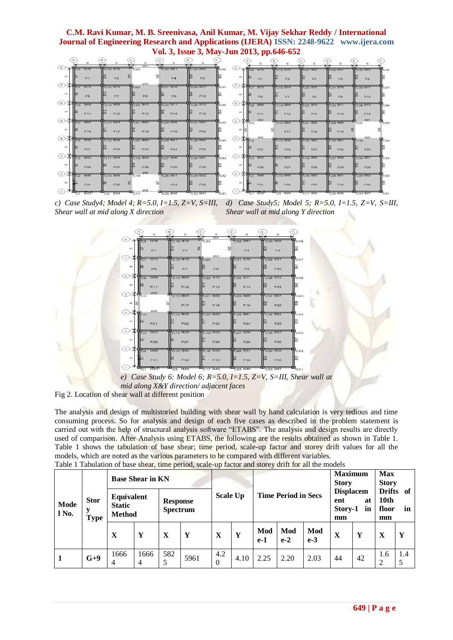| a.            | $\sim$                                                                    |                 | 5<br>W1            | s.                   |                       |                 |                                               |         |            |                |              |             |
|---------------|---------------------------------------------------------------------------|-----------------|--------------------|----------------------|-----------------------|-----------------|-----------------------------------------------|---------|------------|----------------|--------------|-------------|
| Сe.<br>杰      | <b>PC8 B78</b>                                                            | <b>PC16 B79</b> | $\mathbf{B}_{C24}$ | <b>B</b> C32 B81     | C40 B82               | (a)<br>$C - 48$ | A Rea<br>878                                  | C16070  | C24 BBO    | C32 B81        | æ<br>C40 B82 | <b>CAR</b>  |
| <b>ACT</b>    | Ft                                                                        | F2              |                    | F4                   | F5                    |                 | w<br>$\mathcal{F}$                            | F2      | F3         | FA             |              |             |
| ( T )         | <b>B73</b><br>СT                                                          | C15 B74         | W3<br>cc23         | C31 B76              | C39 B77               | (7)<br>C47      | HC/1873                                       | C15 B74 | C23 B75    | C31 B76        | C-39 B77     | <b>C-47</b> |
| ACL           | F6                                                                        | FZ.             | FB.                | F9                   | F10                   |                 | M3<br>F6                                      | F       | FB         | FB             | F10          |             |
| C 00 0        | Bos<br>ce                                                                 | C14 B69         | C22 B70            | C30 B71              | C38 B72               | $\circ$<br>C46  | Co Boa                                        | C14 B69 | C22 B70    | C30 B71        | C38 B72      |             |
| M3            | F11                                                                       | F12             | F13                | F14                  | F15                   |                 | F11                                           | F12     | F13        | <b>F14</b>     | F15          |             |
| $-6$          | <b>HCs 863</b>                                                            | C13 B64         | C21 B65            | <b>29 B66</b>        | C37 B67               | (6)<br>C46      | W2<br>$+6$ <sub>C5</sub>                      | C13 B64 | C21 B65    | <b>C29 B66</b> | W7<br>C37    | C45         |
| set.          | F16                                                                       | F17             | F18                | F19                  | F20                   |                 |                                               | F17     | F18        | F10            |              |             |
| 4.1           | REG B58                                                                   | C12 859         | C20 B60            | <b>28 861</b>        | <b>C36 B67</b>        | (4)<br>C44      | <b>VV4</b><br>$4\frac{H}{104}$                | C12 859 | C20 B60    | C28 B61        | WS.<br>C36   | C44         |
| M3            | F21                                                                       | F22             | F23                | F24                  | F25                   |                 | F21                                           | F22     | F23        | F24            | F26          |             |
| $\infty$      | $C3$ $B53$                                                                | <b>C11 BS4</b>  | C19 855            | C27 856              | C35 B57               | (a)<br>C43      | <b>RAT</b><br>$\sim$                          | C11 B54 | C19 B55    | C27 BM         | C35 B57      | C43         |
| ACI-          | F26                                                                       | F27             | F28                | F29                  | F30                   |                 | MT.<br>F26                                    | F27     | F28        | F29            | F30          |             |
| $\rightarrow$ | $rac{1}{\sqrt{1-x^2}}$ B48                                                | <b>C10 B49</b>  | we.<br>C18         | <sup>2</sup> C26 B51 | C34 B52               | œ)<br>C42       | $P_{C2}$ 048                                  | C10 B49 | C18 B50    | C26 B51        | C34 B52      | $C-42$      |
| 40%           | F31                                                                       | F32             |                    | F34                  | <b>F35</b>            |                 | F31                                           | F32     | <b>F33</b> | F34            | F35          |             |
|               | <b>Change of Contract Contract of Contract Contract Contract Only 100</b> |                 | wa.                | <b>SERIES SERIES</b> | <b>Report Follows</b> |                 | $(1)$ $\rightarrow$ $\bullet$<br>$-200$ $-60$ |         |            |                |              |             |

*c) Case Study4; Model 4; R=5.0, I=1.5, Z=V, S=III, d) Case Study5; Model 5; R=5.0, I=1.5, Z=V, S=III, Shear wall at mid along X direction Shear wall at mid along Y direction* 

|                        | 5                                             | в<br>5                           | $\rm ^{c}$<br>в<br>W <sub>1</sub> | $\mathbf{D}$<br>5               | 5               |              |
|------------------------|-----------------------------------------------|----------------------------------|-----------------------------------|---------------------------------|-----------------|--------------|
| (s)                    | $A$ <sup>H</sup> C <sub>8</sub><br><b>B78</b> | C16 B79                          | $\textbf{E}_{C24}$                | $\frac{1}{2}$ C32 B81           | C40 B82         | $\Pi_{C,48}$ |
| up.                    | rs.<br>F1                                     | $\overline{m}$<br>F <sub>2</sub> | N4                                | ≋<br>FA                         | òó.<br>F5       | ä            |
| Ćт.                    | . .<br>B73                                    | C15 B74                          | W3<br>C23                         | HC31 B76                        | C39 B77         | C47          |
| un.                    | æ<br>F6                                       | $rac{1}{2}$<br>F7                | 82<br><b>F8</b>                   | õõ<br>F9                        | F <sub>10</sub> |              |
| (e)                    | $\epsilon_{\rm H_{CG}}$<br><b>B68</b>         | C14 B69                          | C <sub>22</sub> B70               | C30 B7                          | C38 B72         | C46          |
| in.                    | lВ<br>F11                                     | $\overline{5}$ F12               | е<br>F13                          | ß.<br>F14                       | F15             | 닳            |
| $\left( \circ \right)$ | W6<br>$X \mathbf{E}_{C5}$                     | <b>B</b> C13 B64                 | C21 B65                           | C29 B66                         | C37 B67         | C45          |
| $\frac{35}{2}$         |                                               | ы<br>F17                         | <b>第</b> F18                      | ã<br>F19                        | æ<br>F20        | e            |
| ① <b>*H</b> c4         | <b>WVB</b>                                    | PC12 B59                         | C <sub>20</sub> B <sub>60</sub>   | C28 B61                         | C36 B62         | C44          |
| $\infty$               | ľЗ<br>F21                                     | 忘<br>F22                         | i co<br>F23                       | S<br>F24                        | ន<br>F25        |              |
| (3)                    | 人甲二<br><b>B53</b>                             | C11 B54                          | C19 B55                           | C <sub>27</sub> B <sub>56</sub> | C35 B57         | C43          |
| up.                    | e<br>F26                                      | $\frac{25}{12}$ F27              | Б<br>F28                          | B<br>F29                        | œ<br>F30        | e            |
| (2)                    | 羊甲乙<br>B48                                    | C10 B49                          | C18 B50                           | C <sub>26</sub> B <sub>51</sub> | C34 B52         | C42          |
| S.                     | <b>Alice</b><br>F31                           | ▩<br>F32                         | <b>Exp.</b><br>F33                | e<br>F34                        | a.<br>F35       | 嵒            |
| (1)                    |                                               |                                  |                                   |                                 |                 |              |



Fig 2. Location of shear wall at different position

The analysis and design of multistoried building with shear wall by hand calculation is very tedious and time consuming process. So for analysis and design of each five cases as described in the problem statement is carried out with the help of structural analysis software "ETABS". The analysis and design results are directly used of comparison. After Analysis using ETABS, the following are the results obtained as shown in Table 1. Table 1 shows the tabulation of base shear; time period, scale-up factor and storey drift values for all the models, which are noted as the various parameters to be compared with different variables.

| <b>Mode</b><br>l No. | <b>Stor</b><br><b>Type</b> | <b>Base Shear in KN</b>                      |           |                                    |      |                 |      | Table T Tabulation of base shear, thire perfou, searc-up factor and storey drift for an the models |              |              | <b>Maximum</b><br><b>Story</b>                       |    | <b>Max</b><br><b>Story</b>             |     |
|----------------------|----------------------------|----------------------------------------------|-----------|------------------------------------|------|-----------------|------|----------------------------------------------------------------------------------------------------|--------------|--------------|------------------------------------------------------|----|----------------------------------------|-----|
|                      |                            | Equivalent<br><b>Static</b><br><b>Method</b> |           | <b>Response</b><br><b>Spectrum</b> |      | <b>Scale Up</b> |      | <b>Time Period in Secs</b>                                                                         |              |              | <b>Displacem</b><br>at<br>ent<br>Story-1<br>in<br>mm |    | Drifts of<br>10th<br>floor<br>in<br>mm |     |
|                      |                            | X                                            | Y         | X                                  | Y    | X               | Y    | Mod<br>$e-1$                                                                                       | Mod<br>$e-2$ | Mod<br>$e-3$ | X                                                    | Y  | X                                      | Y   |
|                      | $G+9$                      | 1666<br>4                                    | 1666<br>4 | 582                                | 5961 | 4.2<br>$\Omega$ | 4.10 | 2.25                                                                                               | 2.20         | 2.03         | 44                                                   | 42 | 1.6<br>2                               | 1.4 |

Table 1 Tabulation of base shear, time period, scale-up factor and storey drift for all the models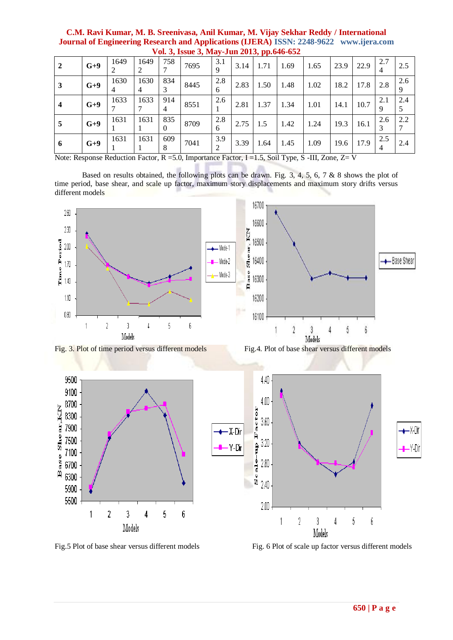|              | v 01. J, 18800 J, 1914 y Juli 2013, pp.040-032 |           |           |                       |      |          |      |      |      |      |      |      |          |          |
|--------------|------------------------------------------------|-----------|-----------|-----------------------|------|----------|------|------|------|------|------|------|----------|----------|
| 2            | $G+9$                                          | 1649      | 1649      | 758                   | 7695 | 3.1<br>Q | 3.14 | 1.71 | 1.69 | 1.65 | 23.9 | 22.9 | 2.7<br>4 | 2.5      |
| 3            | $G+9$                                          | 1630<br>4 | 1630<br>4 | 834                   | 8445 | 2.8<br>6 | 2.83 | 1.50 | 1.48 | 1.02 | 18.2 | 17.8 | 2.8      | 2.6<br>9 |
| 4            | $G+9$                                          | 1633      | 1633      | 914<br>$\overline{4}$ | 8551 | 2.6      | 2.81 | 1.37 | 1.34 | 1.01 | 14.1 | 10.7 | 2.1<br>9 | 2.4      |
| $\mathbf{c}$ | $G+9$                                          | 1631      | 1631      | 835<br>0              | 8709 | 2.8<br>6 | 2.75 | 1.5  | 1.42 | 1.24 | 19.3 | 16.1 | 2.6<br>3 | 2.2      |
| 6            | $G+9$                                          | 1631      | 1631      | 609                   | 7041 | 3.9      | 3.39 | 1.64 | 1.45 | 1.09 | 19.6 | 17.9 | 2.5<br>4 | 2.4      |

**C.M. Ravi Kumar, M. B. Sreenivasa, Anil Kumar, M. Vijay Sekhar Reddy / International Journal of Engineering Research and Applications (IJERA) ISSN: 2248-9622 www.ijera.com Vol. 3, Issue 3, May-Jun 2013, pp.646-652**

Note: Response Reduction Factor, R =5.0, Importance Factor, I =1.5, Soil Type, S -III, Zone, Z= V

Based on results obtained, the following plots can be drawn. Fig. 3, 4, 5, 6, 7 & 8 shows the plot of time period, base shear, and scale up factor, maximum story displacements and maximum story drifts versus different models



Models

Fig.5 Plot of base shear versus different models Fig. 6 Plot of scale up factor versus different models

 $\sqrt{2}$ 

 $\sqrt{3}$ 

Models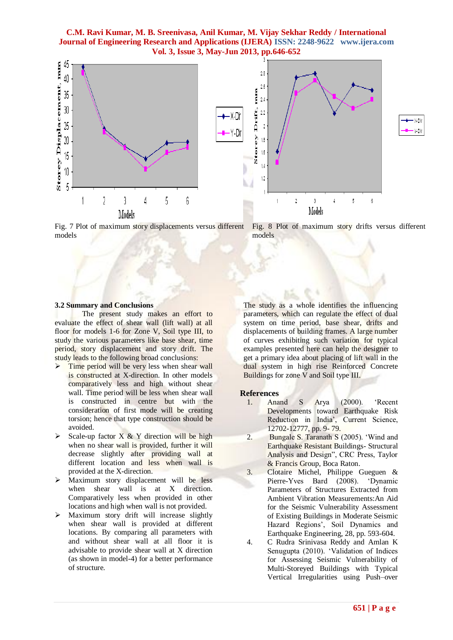**C.M. Ravi Kumar, M. B. Sreenivasa, Anil Kumar, M. Vijay Sekhar Reddy / International Journal of Engineering Research and Applications (IJERA) ISSN: 2248-9622 www.ijera.com Vol. 3, Issue 3, May-Jun 2013, pp.646-652**



Fig. 7 Plot of maximum story displacements versus different Fig. 8 Plot of maximum story drifts versus different models models

#### **3.2 Summary and Conclusions**

The present study makes an effort to evaluate the effect of shear wall (lift wall) at all floor for models 1-6 for Zone V, Soil type III, to study the various parameters like base shear, time period, story displacement and story drift. The study leads to the following broad conclusions:

- $\triangleright$  Time period will be very less when shear wall is constructed at X-direction. In other models comparatively less and high without shear wall. Time period will be less when shear wall is constructed in centre but with the consideration of first mode will be creating torsion; hence that type construction should be avoided.
- $\triangleright$  Scale-up factor X & Y direction will be high when no shear wall is provided, further it will decrease slightly after providing wall at different location and less when wall is provided at the X-direction.
- $\triangleright$  Maximum story displacement will be less when shear wall is at X direction. Comparatively less when provided in other locations and high when wall is not provided.
- $\triangleright$  Maximum story drift will increase slightly when shear wall is provided at different locations. By comparing all parameters with and without shear wall at all floor it is advisable to provide shear wall at X direction (as shown in model-4) for a better performance of structure.

The study as a whole identifies the influencing parameters, which can regulate the effect of dual system on time period, base shear, drifts and displacements of building frames. A large number of curves exhibiting such variation for typical examples presented here can help the designer to get a primary idea about placing of lift wall in the dual system in high rise Reinforced Concrete Buildings for zone V and Soil type III.

#### **References**

- 1. Anand S Arya (2000). "Recent Developments toward Earthquake Risk Reduction in India', Current Science, 12702-12777, pp. 9- 79.
- 2. Bungale S. Taranath S (2005). "Wind and Earthquake Resistant Buildings- Structural Analysis and Design", CRC Press, Taylor & Francis Group, Boca Raton.
- 3. Clotaire Michel, Philippe Gueguen & Pierre-Yves Bard (2008). "Dynamic Parameters of Structures Extracted from Ambient Vibration Measurements:An Aid for the Seismic Vulnerability Assessment of Existing Buildings in Moderate Seismic Hazard Regions', Soil Dynamics and Earthquake Engineering, 28, pp. 593-604.
- 4. C Rudra Srinivasa Reddy and Amlan K Senugupta (2010). "Validation of Indices for Assessing Seismic Vulnerability of Multi-Storeyed Buildings with Typical Vertical Irregularities using Push–over